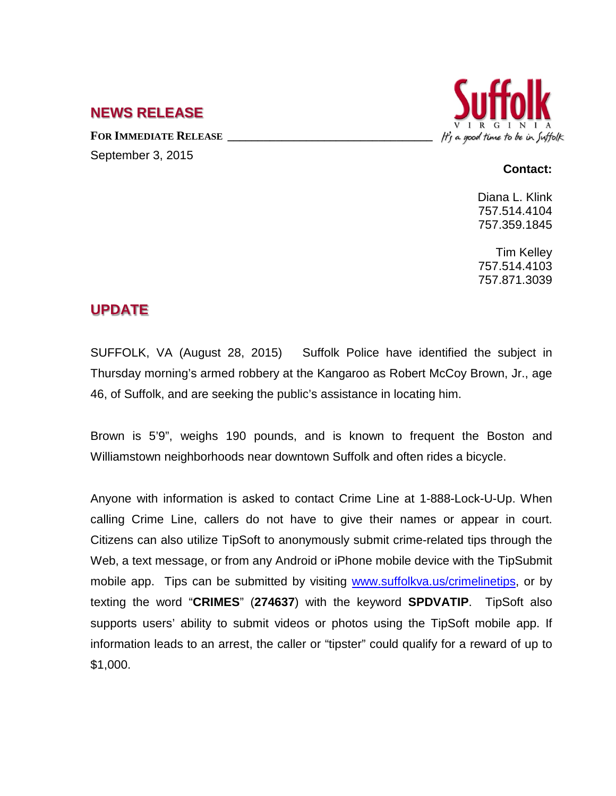## **NEWS RELEASE**

FOR **IMMEDIATE RELEASE** September 3, 2015



## **Contact:**

Diana L. Klink 757.514.4104 757.359.1845

Tim Kelley 757.514.4103 757.871.3039

## **UPDATE**

SUFFOLK, VA (August 28, 2015) Suffolk Police have identified the subject in Thursday morning's armed robbery at the Kangaroo as Robert McCoy Brown, Jr., age 46, of Suffolk, and are seeking the public's assistance in locating him.

Brown is 5'9", weighs 190 pounds, and is known to frequent the Boston and Williamstown neighborhoods near downtown Suffolk and often rides a bicycle.

Anyone with information is asked to contact Crime Line at 1-888-Lock-U-Up. When calling Crime Line, callers do not have to give their names or appear in court. Citizens can also utilize TipSoft to anonymously submit crime-related tips through the Web, a text message, or from any Android or iPhone mobile device with the [TipSubmit](http://www.tipsoft.com/index.asp?P=TipSubmitMobile)  [mobile app.](http://www.tipsoft.com/index.asp?P=TipSubmitMobile) Tips can be submitted by visiting [www.suffolkva.us/crimelinetips,](http://www.suffolkva.us/crimelinetips) or by texting the word "**CRIMES**" (**274637**) with the keyword **SPDVATIP**. TipSoft also supports users' ability to submit videos or photos using the TipSoft mobile app. If information leads to an arrest, the caller or "tipster" could qualify for a reward of up to \$1,000.